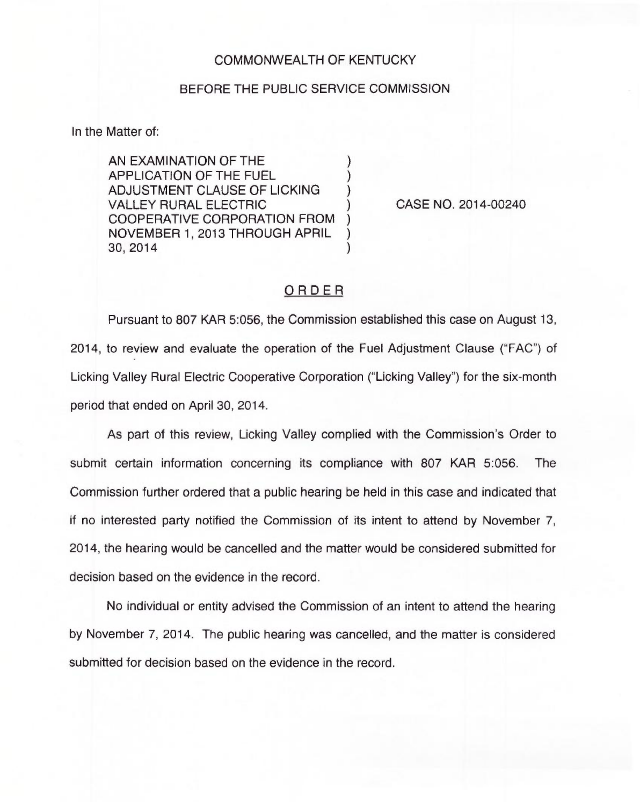## COMMONWEALTH OF KENTUCKY

## BEFORE THE PUBLIC SERVICE COMMISSION

In the Matter of:

AN EXAMINATION OF THE APPLICATION OF THE FUEL ) ADJUSTMENT CLAUSE OF LICKING **VALLEY RURAL ELECTRIC** COOPERATIVE CORPORATION FROM ) NOVEMBER 1, 2013 THROUGH APRIL ) 30, 2014 )

CASE NO. 2014-00240

## ORDER

Pursuant to 807 KAR 5:056, the Commission established this case on August 13, 2014, to review and evaluate the operation of the Fuel Adjustment Clause ("FAC") of Licking Valley Rural Electric Cooperative Corporation ("Licking Valley") for the six-mont period that ended on April 30, 2014.

As part of this review, Licking Valley complied with the Commission's Order to submit certain information concerning its compliance with 807 KAR 5:056. The Commission further ordered that a public hearing be held in this case and indicated that if no interested party notified the Commission of its intent to attend by November 7, 2014, the hearing would be cancelled and the matter would be considered submitted for decision based on the evidence in the record.

No individual or entity advised the Commission of an intent to attend the hearing by November 7, 2014. The public hearing was cancelled, and the matter is considered submitted for decision based on the evidence in the record.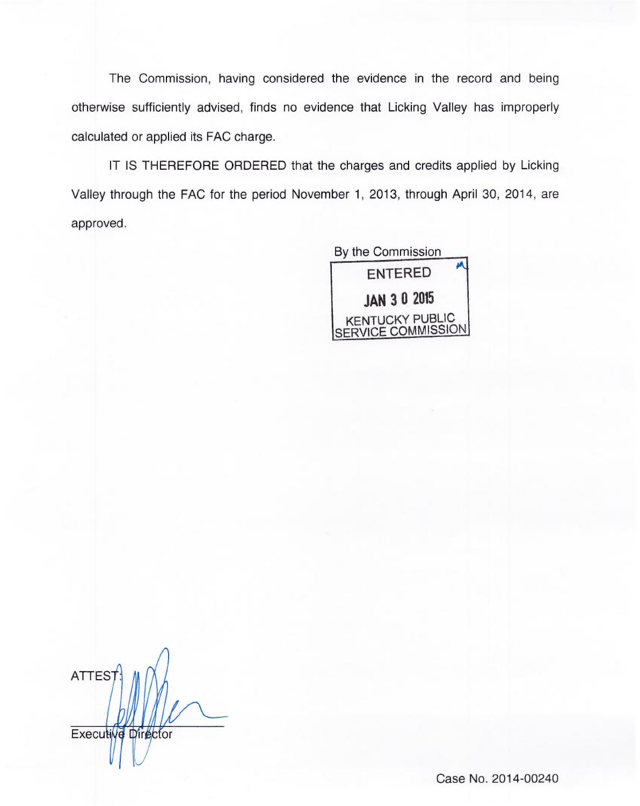The Commission, having considered the evidence in the record and being otherwise sufficiently advised, finds no evidence that Licking Valley has improperly calculated or applied its FAC charge.

IT IS THEREFORE ORDERED that the charges and credits applied by Licking Valley through the FAC for the period November 1, 2013, through April 30, 2014, are approved.

> By the Commission ENTERED JAN 3 0 2015 KENTUCKY PUBLIC SERVICE COMMISSION

**ATTEST** Executive Director

Case No. 2014-00240